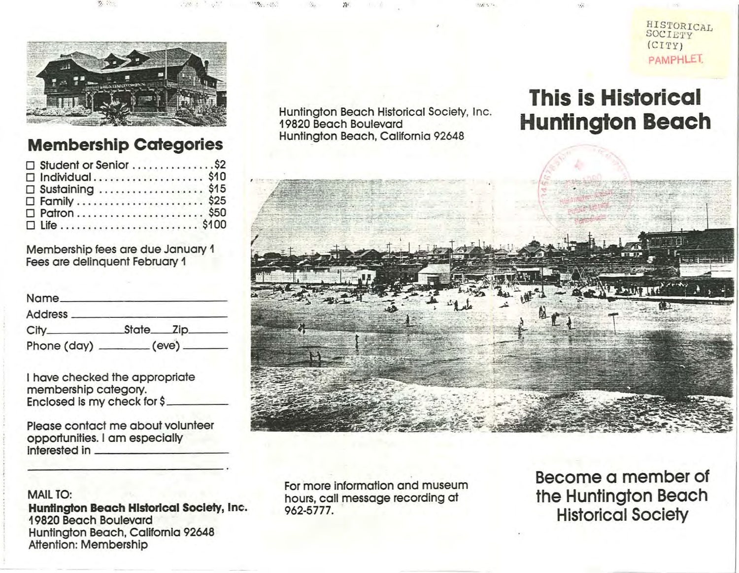

.~:. : .. . ','".; .

## **Membership Categories**

| □ Student or Senior \$2 |
|-------------------------|
| $\Box$ Individual\$10   |
| □ Sustaining \$15       |
|                         |
|                         |
|                         |

Membership fees are due January 1 Fees are delinquent February 1

| Name <sub>-</sub> |                                   |  |
|-------------------|-----------------------------------|--|
| Address _____     |                                   |  |
|                   | State <sub>c</sub> zip_           |  |
|                   | Phone (day) ________ (eve) ______ |  |

I hove checked the appropriate membership category. Enclosed is my check for \$

Please contact me about volunteer opportunities. I am especially interested in \_\_\_\_\_\_\_\_\_\_\_\_\_\_\_ \_

## MAIL TO:

**Huntington Beach Historical** Society, Inc. 19820 Beach Boulevard Huntington Beach, Callfomia 92648 Attention: Membership

Huntington Beach Historical Society, Inc. Huntington Beach Historical Society, Inc.<br>19820 Beach Boulevard<br>Uuntington Bogeh Galifernia 02648 Huntington Beach, California 92648

. •. ?; •• • ...... .,'" .....

## **This is Historical Huntington Beach**

HISTORICAL SOCIETY  $(CITY)$ PAMPHLET.

 $\ddot{\bm{x}}$ 



For more information and museum hours, call message recording at 962-5777.

**Become a member of the Huntington Beach Historical Society**